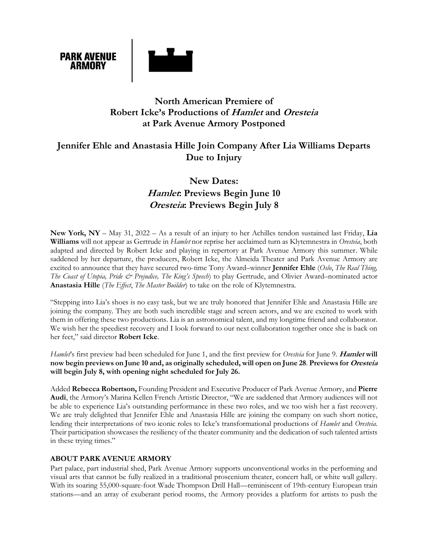

### **North American Premiere of Robert Icke's Productions of Hamlet and Oresteia at Park Avenue Armory Postponed**

## **Jennifer Ehle and Anastasia Hille Join Company After Lia Williams Departs Due to Injury**

# **New Dates: Hamlet: Previews Begin June 10 Oresteia: Previews Begin July 8**

**New York, NY** – May 31, 2022 – As a result of an injury to her Achilles tendon sustained last Friday, **Lia Williams** will not appear as Gertrude in *Hamlet* nor reprise her acclaimed turn as Klytemnestra in *Oresteia*, both adapted and directed by Robert Icke and playing in repertory at Park Avenue Armory this summer. While saddened by her departure, the producers, Robert Icke, the Almeida Theater and Park Avenue Armory are excited to announce that they have secured two-time Tony Award–winner **Jennifer Ehle** (*Oslo*, *The Real Thing, The Coast of Utopia, Pride & Prejudice, The King's Speech*) to play Gertrude, and Olivier Award–nominated actor **Anastasia Hille** (*The Effect*, *The Master Builder*) to take on the role of Klytemnestra.

"Stepping into Lia's shoes is no easy task, but we are truly honored that Jennifer Ehle and Anastasia Hille are joining the company*.* They are both such incredible stage and screen actors, and we are excited to work with them in offering these two productions. Lia is an astronomical talent, and my longtime friend and collaborator. We wish her the speediest recovery and I look forward to our next collaboration together once she is back on her feet," said director **Robert Icke**.

*Hamlet*'s first preview had been scheduled for June 1, and the first preview for *Oresteia* for June 9. **Hamlet will now begin previews on June 10 and, as originally scheduled, will open on June 28**. **Previews for Oresteia will begin July 8, with opening night scheduled for July 26.** 

Added **Rebecca Robertson,** Founding President and Executive Producer of Park Avenue Armory, and **Pierre Audi**, the Armory's Marina Kellen French Artistic Director, "We are saddened that Armory audiences will not be able to experience Lia's outstanding performance in these two roles, and we too wish her a fast recovery. We are truly delighted that Jennifer Ehle and Anastasia Hille are joining the company on such short notice, lending their interpretations of two iconic roles to Icke's transformational productions of *Hamlet* and *Oresteia*. Their participation showcases the resiliency of the theater community and the dedication of such talented artists in these trying times."

#### **ABOUT PARK AVENUE ARMORY**

Part palace, part industrial shed, Park Avenue Armory supports unconventional works in the performing and visual arts that cannot be fully realized in a traditional proscenium theater, concert hall, or white wall gallery. With its soaring 55,000-square-foot Wade Thompson Drill Hall—reminiscent of 19th-century European train stations—and an array of exuberant period rooms, the Armory provides a platform for artists to push the